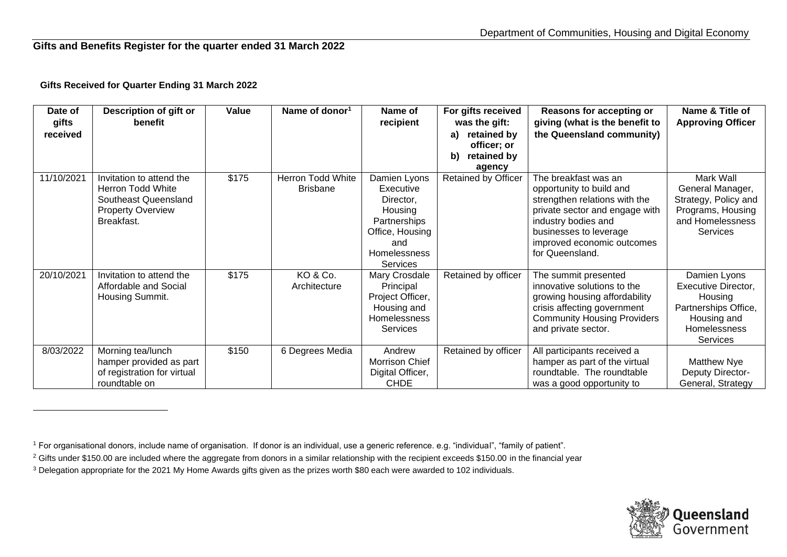## **Gifts and Benefits Register for the quarter ended 31 March 2022**

## **Gifts Received for Quarter Ending 31 March 2022**

| Date of    | Description of gift or                               | Value | Name of donor <sup>1</sup>           | Name of                     | For gifts received  | <b>Reasons for accepting or</b>                                   | Name & Title of                    |
|------------|------------------------------------------------------|-------|--------------------------------------|-----------------------------|---------------------|-------------------------------------------------------------------|------------------------------------|
| gifts      | benefit                                              |       |                                      | recipient                   | was the gift:       | giving (what is the benefit to                                    | <b>Approving Officer</b>           |
| received   |                                                      |       |                                      |                             | retained by<br>a)   | the Queensland community)                                         |                                    |
|            |                                                      |       |                                      |                             | officer; or         |                                                                   |                                    |
|            |                                                      |       |                                      |                             | b)<br>retained by   |                                                                   |                                    |
|            |                                                      |       |                                      |                             | agency              |                                                                   | Mark Wall                          |
| 11/10/2021 | Invitation to attend the<br><b>Herron Todd White</b> | \$175 | Herron Todd White<br><b>Brisbane</b> | Damien Lyons<br>Executive   | Retained by Officer | The breakfast was an<br>opportunity to build and                  | General Manager,                   |
|            | Southeast Queensland                                 |       |                                      | Director,                   |                     | strengthen relations with the                                     | Strategy, Policy and               |
|            | <b>Property Overview</b>                             |       |                                      | Housing                     |                     | private sector and engage with                                    | Programs, Housing                  |
|            | Breakfast.                                           |       |                                      | <b>Partnerships</b>         |                     | industry bodies and                                               | and Homelessness                   |
|            |                                                      |       |                                      | Office, Housing             |                     | businesses to leverage                                            | Services                           |
|            |                                                      |       |                                      | and                         |                     | improved economic outcomes                                        |                                    |
|            |                                                      |       |                                      | <b>Homelessness</b>         |                     | for Queensland.                                                   |                                    |
|            |                                                      |       |                                      | Services                    |                     |                                                                   |                                    |
| 20/10/2021 | Invitation to attend the                             | \$175 | KO & Co.                             | Mary Crosdale               | Retained by officer | The summit presented                                              | Damien Lyons                       |
|            | Affordable and Social                                |       | Architecture                         | Principal                   |                     | innovative solutions to the                                       | Executive Director,                |
|            | Housing Summit.                                      |       |                                      | Project Officer,            |                     | growing housing affordability                                     | Housing                            |
|            |                                                      |       |                                      | Housing and<br>Homelessness |                     | crisis affecting government<br><b>Community Housing Providers</b> | Partnerships Office,               |
|            |                                                      |       |                                      | Services                    |                     | and private sector.                                               | Housing and<br><b>Homelessness</b> |
|            |                                                      |       |                                      |                             |                     |                                                                   | Services                           |
| 8/03/2022  | Morning tea/lunch                                    | \$150 | 6 Degrees Media                      | Andrew                      | Retained by officer | All participants received a                                       |                                    |
|            | hamper provided as part                              |       |                                      | Morrison Chief              |                     | hamper as part of the virtual                                     | Matthew Nye                        |
|            | of registration for virtual                          |       |                                      | Digital Officer,            |                     | roundtable. The roundtable                                        | Deputy Director-                   |
|            | roundtable on                                        |       |                                      | <b>CHDE</b>                 |                     | was a good opportunity to                                         | General, Strategy                  |



<sup>1</sup> For organisational donors, include name of organisation. If donor is an individual, use a generic reference. e.g. "individual", "family of patient".

<sup>&</sup>lt;sup>2</sup> Gifts under \$150.00 are included where the aggregate from donors in a similar relationship with the recipient exceeds \$150.00 in the financial year

<sup>&</sup>lt;sup>3</sup> Delegation appropriate for the 2021 My Home Awards gifts given as the prizes worth \$80 each were awarded to 102 individuals.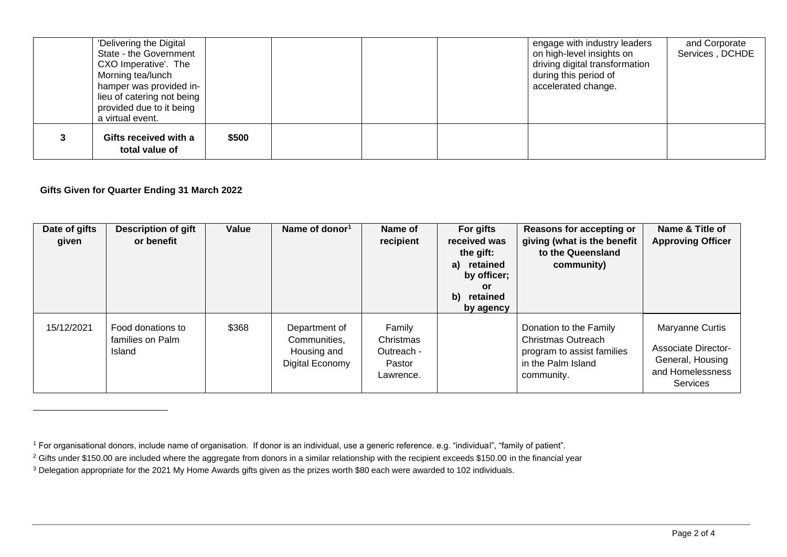| 'Delivering the Digital<br>State - the Government<br>CXO Imperative'. The<br>Morning tea/lunch<br>hamper was provided in-<br>lieu of catering not being<br>provided due to it being<br>a virtual event. |       |  | engage with industry leaders<br>on high-level insights on<br>driving digital transformation<br>during this period of<br>accelerated change. | and Corporate<br>Services, DCHDE |
|---------------------------------------------------------------------------------------------------------------------------------------------------------------------------------------------------------|-------|--|---------------------------------------------------------------------------------------------------------------------------------------------|----------------------------------|
| Gifts received with a<br>total value of                                                                                                                                                                 | \$500 |  |                                                                                                                                             |                                  |

## **Gifts Given for Quarter Ending 31 March 2022**

| Date of gifts<br>given | <b>Description of gift</b><br>or benefit        | Value | Name of donor <sup>1</sup>                                      | Name of<br>recipient                                     | For gifts<br>received was<br>the gift:<br>retained<br>a)<br>by officer;<br><b>or</b><br>b)<br>retained<br>by agency | Reasons for accepting or<br>giving (what is the benefit<br>to the Queensland<br>community)                     | Name & Title of<br><b>Approving Officer</b>                                                              |
|------------------------|-------------------------------------------------|-------|-----------------------------------------------------------------|----------------------------------------------------------|---------------------------------------------------------------------------------------------------------------------|----------------------------------------------------------------------------------------------------------------|----------------------------------------------------------------------------------------------------------|
| 15/12/2021             | Food donations to<br>families on Palm<br>Island | \$368 | Department of<br>Communities,<br>Housing and<br>Digital Economy | Family<br>Christmas<br>Outreach -<br>Pastor<br>Lawrence. |                                                                                                                     | Donation to the Family<br>Christmas Outreach<br>program to assist families<br>in the Palm Island<br>community. | Maryanne Curtis<br><b>Associate Director-</b><br>General, Housing<br>and Homelessness<br><b>Services</b> |

<sup>&</sup>lt;sup>1</sup> For organisational donors, include name of organisation. If donor is an individual, use a generic reference. e.g. "individual", "family of patient".

<sup>&</sup>lt;sup>2</sup> Gifts under \$150.00 are included where the aggregate from donors in a similar relationship with the recipient exceeds \$150.00 in the financial year

<sup>3</sup> Delegation appropriate for the 2021 My Home Awards gifts given as the prizes worth \$80 each were awarded to 102 individuals.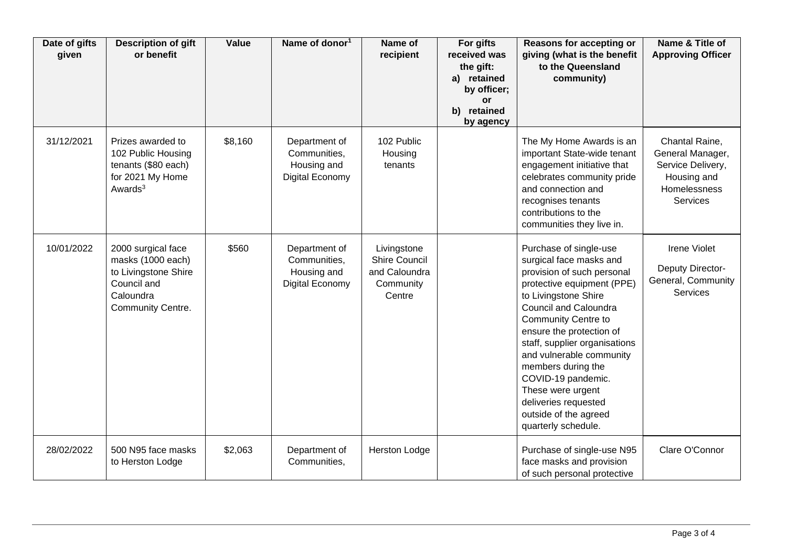| Date of gifts<br>given | <b>Description of gift</b><br>or benefit                                                                         | Value   | Name of donor <sup>1</sup>                                      | Name of<br>recipient                                                        | For gifts<br>received was<br>the gift:<br>a) retained<br>by officer;<br>or<br>retained<br>b)<br>by agency | Reasons for accepting or<br>giving (what is the benefit<br>to the Queensland<br>community)                                                                                                                                                                                                                                                                                                                                     | Name & Title of<br><b>Approving Officer</b>                                                        |
|------------------------|------------------------------------------------------------------------------------------------------------------|---------|-----------------------------------------------------------------|-----------------------------------------------------------------------------|-----------------------------------------------------------------------------------------------------------|--------------------------------------------------------------------------------------------------------------------------------------------------------------------------------------------------------------------------------------------------------------------------------------------------------------------------------------------------------------------------------------------------------------------------------|----------------------------------------------------------------------------------------------------|
| 31/12/2021             | Prizes awarded to<br>102 Public Housing<br>tenants (\$80 each)<br>for 2021 My Home<br>Awards $3$                 | \$8,160 | Department of<br>Communities,<br>Housing and<br>Digital Economy | 102 Public<br>Housing<br>tenants                                            |                                                                                                           | The My Home Awards is an<br>important State-wide tenant<br>engagement initiative that<br>celebrates community pride<br>and connection and<br>recognises tenants<br>contributions to the<br>communities they live in.                                                                                                                                                                                                           | Chantal Raine,<br>General Manager,<br>Service Delivery,<br>Housing and<br>Homelessness<br>Services |
| 10/01/2022             | 2000 surgical face<br>masks (1000 each)<br>to Livingstone Shire<br>Council and<br>Caloundra<br>Community Centre. | \$560   | Department of<br>Communities,<br>Housing and<br>Digital Economy | Livingstone<br><b>Shire Council</b><br>and Caloundra<br>Community<br>Centre |                                                                                                           | Purchase of single-use<br>surgical face masks and<br>provision of such personal<br>protective equipment (PPE)<br>to Livingstone Shire<br>Council and Caloundra<br><b>Community Centre to</b><br>ensure the protection of<br>staff, supplier organisations<br>and vulnerable community<br>members during the<br>COVID-19 pandemic.<br>These were urgent<br>deliveries requested<br>outside of the agreed<br>quarterly schedule. | <b>Irene Violet</b><br>Deputy Director-<br>General, Community<br><b>Services</b>                   |
| 28/02/2022             | 500 N95 face masks<br>to Herston Lodge                                                                           | \$2,063 | Department of<br>Communities,                                   | Herston Lodge                                                               |                                                                                                           | Purchase of single-use N95<br>face masks and provision<br>of such personal protective                                                                                                                                                                                                                                                                                                                                          | Clare O'Connor                                                                                     |